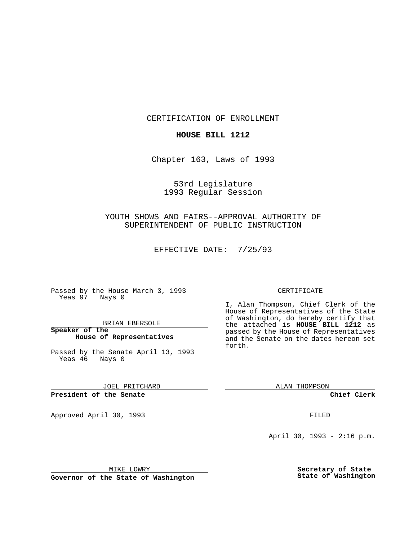CERTIFICATION OF ENROLLMENT

## **HOUSE BILL 1212**

Chapter 163, Laws of 1993

53rd Legislature 1993 Regular Session

YOUTH SHOWS AND FAIRS--APPROVAL AUTHORITY OF SUPERINTENDENT OF PUBLIC INSTRUCTION

EFFECTIVE DATE: 7/25/93

Passed by the House March 3, 1993 Yeas 97 Nays 0

BRIAN EBERSOLE

**Speaker of the House of Representatives**

Passed by the Senate April 13, 1993 Yeas 46 Nays 0

JOEL PRITCHARD

**President of the Senate**

Approved April 30, 1993 **FILED** 

## CERTIFICATE

I, Alan Thompson, Chief Clerk of the House of Representatives of the State of Washington, do hereby certify that the attached is **HOUSE BILL 1212** as passed by the House of Representatives and the Senate on the dates hereon set forth.

ALAN THOMPSON

**Chief Clerk**

April 30, 1993 - 2:16 p.m.

MIKE LOWRY

**Governor of the State of Washington**

**Secretary of State State of Washington**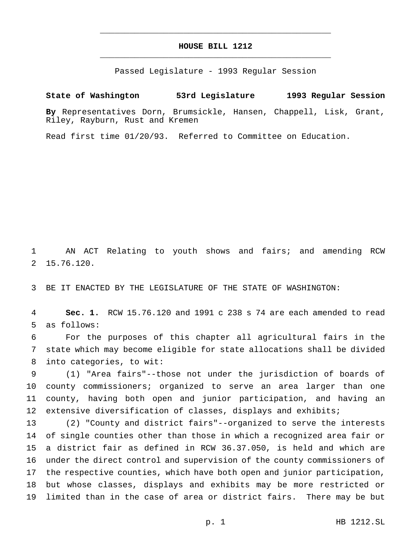## **HOUSE BILL 1212** \_\_\_\_\_\_\_\_\_\_\_\_\_\_\_\_\_\_\_\_\_\_\_\_\_\_\_\_\_\_\_\_\_\_\_\_\_\_\_\_\_\_\_\_\_\_\_

\_\_\_\_\_\_\_\_\_\_\_\_\_\_\_\_\_\_\_\_\_\_\_\_\_\_\_\_\_\_\_\_\_\_\_\_\_\_\_\_\_\_\_\_\_\_\_

Passed Legislature - 1993 Regular Session

## **State of Washington 53rd Legislature 1993 Regular Session**

**By** Representatives Dorn, Brumsickle, Hansen, Chappell, Lisk, Grant, Riley, Rayburn, Rust and Kremen

Read first time 01/20/93. Referred to Committee on Education.

 AN ACT Relating to youth shows and fairs; and amending RCW 15.76.120.

BE IT ENACTED BY THE LEGISLATURE OF THE STATE OF WASHINGTON:

 **Sec. 1.** RCW 15.76.120 and 1991 c 238 s 74 are each amended to read as follows:

 For the purposes of this chapter all agricultural fairs in the state which may become eligible for state allocations shall be divided into categories, to wit:

 (1) "Area fairs"--those not under the jurisdiction of boards of county commissioners; organized to serve an area larger than one county, having both open and junior participation, and having an 12 extensive diversification of classes, displays and exhibits;

 (2) "County and district fairs"--organized to serve the interests of single counties other than those in which a recognized area fair or a district fair as defined in RCW 36.37.050, is held and which are under the direct control and supervision of the county commissioners of the respective counties, which have both open and junior participation, but whose classes, displays and exhibits may be more restricted or limited than in the case of area or district fairs. There may be but